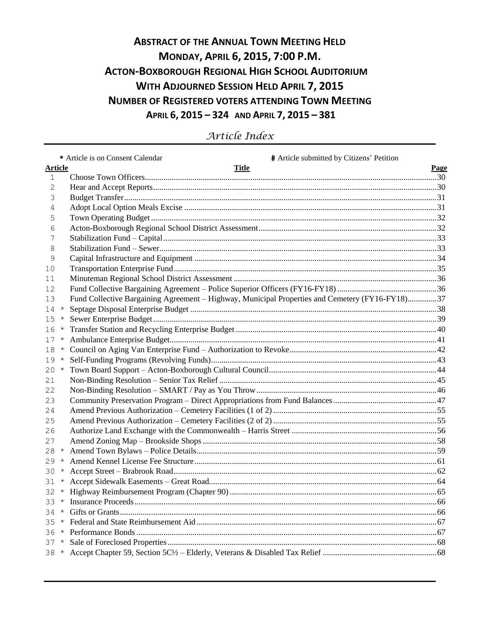# **ABSTRACT OF THE ANNUAL TOWN MEETING HELD** MONDAY, APRIL 6, 2015, 7:00 P.M. **ACTON-BOXBOROUGH REGIONAL HIGH SCHOOL AUDITORIUM WITH ADJOURNED SESSION HELD APRIL 7, 2015 NUMBER OF REGISTERED VOTERS ATTENDING TOWN MEETING** APRIL 6, 2015 - 324 AND APRIL 7, 2015 - 381

|                |            | # Article submitted by Citizens' Petition<br>* Article is on Consent Calendar                   |      |
|----------------|------------|-------------------------------------------------------------------------------------------------|------|
| <b>Article</b> |            | <b>Title</b>                                                                                    | Page |
| 1              |            |                                                                                                 |      |
| 2              |            |                                                                                                 |      |
| 3              |            |                                                                                                 |      |
| 4              |            |                                                                                                 |      |
| 5              |            |                                                                                                 |      |
| 6              |            |                                                                                                 |      |
| 7              |            |                                                                                                 |      |
| 8              |            |                                                                                                 |      |
| 9              |            |                                                                                                 |      |
| 10             |            |                                                                                                 |      |
| 11             |            |                                                                                                 |      |
| 12             |            |                                                                                                 |      |
| 13             |            | Fund Collective Bargaining Agreement - Highway, Municipal Properties and Cemetery (FY16-FY18)37 |      |
| 14             | $\star$    |                                                                                                 |      |
| 15             | $\star$    |                                                                                                 |      |
| 16             | $\star$    |                                                                                                 |      |
| 17             | $^{\star}$ |                                                                                                 |      |
| 18             | $^{\star}$ |                                                                                                 |      |
| 19             | $^{\star}$ |                                                                                                 |      |
| 20             | $^\star$   |                                                                                                 |      |
| 21             |            |                                                                                                 |      |
| 22             |            |                                                                                                 |      |
| 23             |            |                                                                                                 |      |
| 24             |            |                                                                                                 |      |
| 25             |            |                                                                                                 |      |
| 26             |            |                                                                                                 |      |
| 27             |            |                                                                                                 |      |
| 28             | $\star$    |                                                                                                 |      |
| 29             | $\star$    |                                                                                                 |      |
| 30             | $^{\star}$ |                                                                                                 |      |
| 31             | $\star$    |                                                                                                 |      |
| 32             | $\star$    |                                                                                                 |      |
| 33             | $\star$    |                                                                                                 |      |
| 34             |            |                                                                                                 |      |
|                |            |                                                                                                 |      |
|                |            |                                                                                                 |      |
|                |            |                                                                                                 |      |
|                |            |                                                                                                 |      |

Article Index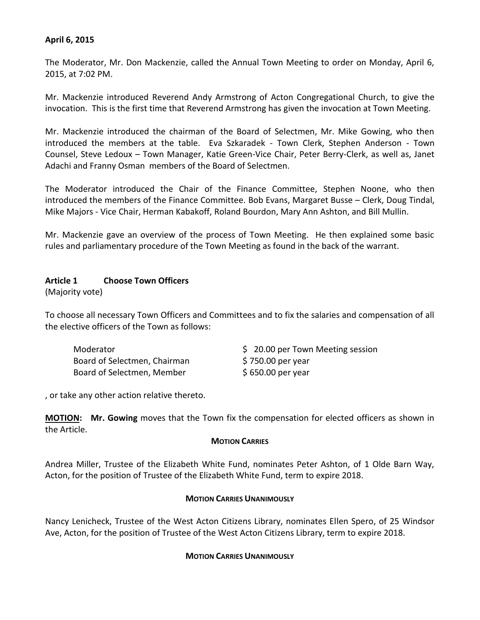#### **April 6, 2015**

The Moderator, Mr. Don Mackenzie, called the Annual Town Meeting to order on Monday, April 6, 2015, at 7:02 PM.

Mr. Mackenzie introduced Reverend Andy Armstrong of Acton Congregational Church, to give the invocation. This is the first time that Reverend Armstrong has given the invocation at Town Meeting.

Mr. Mackenzie introduced the chairman of the Board of Selectmen, Mr. Mike Gowing, who then introduced the members at the table. Eva Szkaradek - Town Clerk, Stephen Anderson - Town Counsel, Steve Ledoux – Town Manager, Katie Green-Vice Chair, Peter Berry-Clerk, as well as, Janet Adachi and Franny Osman members of the Board of Selectmen.

The Moderator introduced the Chair of the Finance Committee, Stephen Noone, who then introduced the members of the Finance Committee. Bob Evans, Margaret Busse – Clerk, Doug Tindal, Mike Majors - Vice Chair, Herman Kabakoff, Roland Bourdon, Mary Ann Ashton, and Bill Mullin.

Mr. Mackenzie gave an overview of the process of Town Meeting. He then explained some basic rules and parliamentary procedure of the Town Meeting as found in the back of the warrant.

#### **Article 1 Choose Town Officers**

(Majority vote)

To choose all necessary Town Officers and Committees and to fix the salaries and compensation of all the elective officers of the Town as follows:

| Moderator                    |  |
|------------------------------|--|
| Board of Selectmen, Chairman |  |
| Board of Selectmen, Member   |  |

\$ 20.00 per Town Meeting session  $$750.00$  per year  $$650.00$  per year

, or take any other action relative thereto.

**MOTION: Mr. Gowing** moves that the Town fix the compensation for elected officers as shown in the Article.

#### **MOTION CARRIES**

Andrea Miller, Trustee of the Elizabeth White Fund, nominates Peter Ashton, of 1 Olde Barn Way, Acton, for the position of Trustee of the Elizabeth White Fund, term to expire 2018.

#### **MOTION CARRIES UNANIMOUSLY**

Nancy Lenicheck, Trustee of the West Acton Citizens Library, nominates Ellen Spero, of 25 Windsor Ave, Acton, for the position of Trustee of the West Acton Citizens Library, term to expire 2018.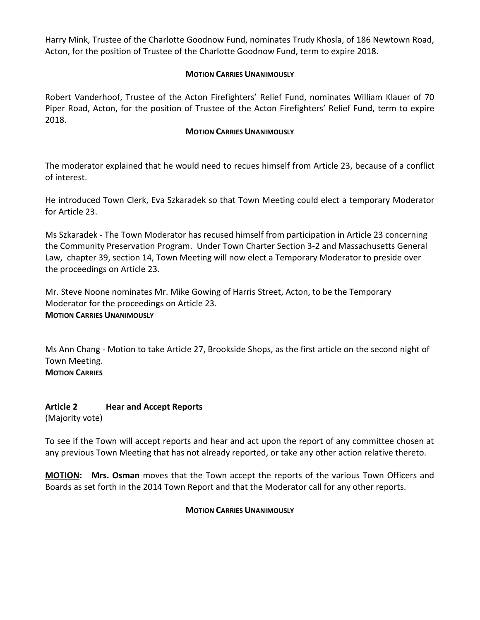Harry Mink, Trustee of the Charlotte Goodnow Fund, nominates Trudy Khosla, of 186 Newtown Road, Acton, for the position of Trustee of the Charlotte Goodnow Fund, term to expire 2018.

#### **MOTION CARRIES UNANIMOUSLY**

Robert Vanderhoof, Trustee of the Acton Firefighters' Relief Fund, nominates William Klauer of 70 Piper Road, Acton, for the position of Trustee of the Acton Firefighters' Relief Fund, term to expire 2018.

#### **MOTION CARRIES UNANIMOUSLY**

The moderator explained that he would need to recues himself from Article 23, because of a conflict of interest.

He introduced Town Clerk, Eva Szkaradek so that Town Meeting could elect a temporary Moderator for Article 23.

Ms Szkaradek - The Town Moderator has recused himself from participation in Article 23 concerning the Community Preservation Program. Under Town Charter Section 3-2 and Massachusetts General Law, chapter 39, section 14, Town Meeting will now elect a Temporary Moderator to preside over the proceedings on Article 23.

Mr. Steve Noone nominates Mr. Mike Gowing of Harris Street, Acton, to be the Temporary Moderator for the proceedings on Article 23. **MOTION CARRIES UNANIMOUSLY**

Ms Ann Chang - Motion to take Article 27, Brookside Shops, as the first article on the second night of Town Meeting. **MOTION CARRIES**

**Article 2 Hear and Accept Reports** (Majority vote)

To see if the Town will accept reports and hear and act upon the report of any committee chosen at any previous Town Meeting that has not already reported, or take any other action relative thereto.

**MOTION: Mrs. Osman** moves that the Town accept the reports of the various Town Officers and Boards as set forth in the 2014 Town Report and that the Moderator call for any other reports.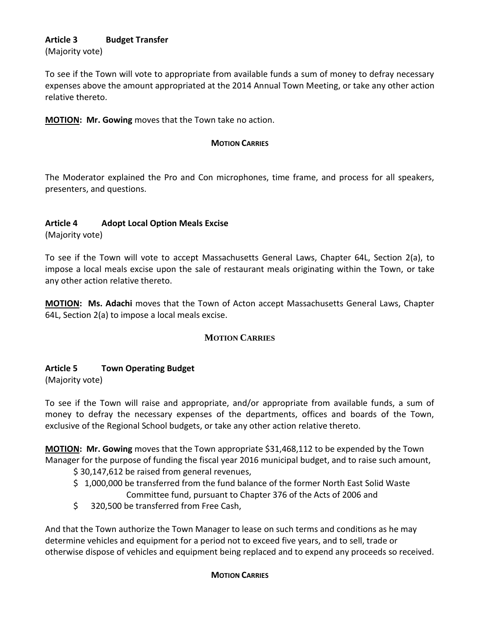# **Article 3 Budget Transfer**

(Majority vote)

To see if the Town will vote to appropriate from available funds a sum of money to defray necessary expenses above the amount appropriated at the 2014 Annual Town Meeting, or take any other action relative thereto.

**MOTION: Mr. Gowing** moves that the Town take no action.

#### **MOTION CARRIES**

The Moderator explained the Pro and Con microphones, time frame, and process for all speakers, presenters, and questions.

## **Article 4 Adopt Local Option Meals Excise**

(Majority vote)

To see if the Town will vote to accept Massachusetts General Laws, Chapter 64L, Section 2(a), to impose a local meals excise upon the sale of restaurant meals originating within the Town, or take any other action relative thereto.

**MOTION: Ms. Adachi** moves that the Town of Acton accept Massachusetts General Laws, Chapter 64L, Section 2(a) to impose a local meals excise.

## **MOTION CARRIES**

## **Article 5 Town Operating Budget**

(Majority vote)

To see if the Town will raise and appropriate, and/or appropriate from available funds, a sum of money to defray the necessary expenses of the departments, offices and boards of the Town, exclusive of the Regional School budgets, or take any other action relative thereto.

**MOTION: Mr. Gowing** moves that the Town appropriate \$31,468,112 to be expended by the Town Manager for the purpose of funding the fiscal year 2016 municipal budget, and to raise such amount,

\$ 30,147,612 be raised from general revenues,

- \$ 1,000,000 be transferred from the fund balance of the former North East Solid Waste Committee fund, pursuant to Chapter 376 of the Acts of 2006 and
- \$ 320,500 be transferred from Free Cash,

And that the Town authorize the Town Manager to lease on such terms and conditions as he may determine vehicles and equipment for a period not to exceed five years, and to sell, trade or otherwise dispose of vehicles and equipment being replaced and to expend any proceeds so received.

#### **MOTION CARRIES**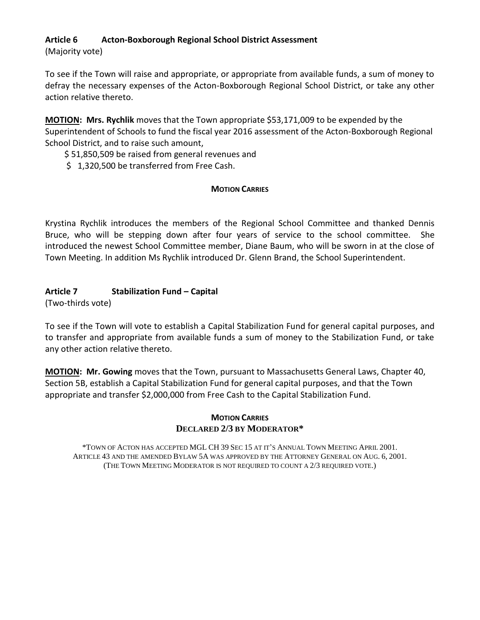## **Article 6 Acton-Boxborough Regional School District Assessment**

(Majority vote)

To see if the Town will raise and appropriate, or appropriate from available funds, a sum of money to defray the necessary expenses of the Acton-Boxborough Regional School District, or take any other action relative thereto.

**MOTION: Mrs. Rychlik** moves that the Town appropriate \$53,171,009 to be expended by the Superintendent of Schools to fund the fiscal year 2016 assessment of the Acton-Boxborough Regional School District, and to raise such amount,

\$ 51,850,509 be raised from general revenues and

\$1,320,500 be transferred from Free Cash.

## **MOTION CARRIES**

Krystina Rychlik introduces the members of the Regional School Committee and thanked Dennis Bruce, who will be stepping down after four years of service to the school committee. She introduced the newest School Committee member, Diane Baum, who will be sworn in at the close of Town Meeting. In addition Ms Rychlik introduced Dr. Glenn Brand, the School Superintendent.

## **Article 7 Stabilization Fund – Capital**

(Two-thirds vote)

To see if the Town will vote to establish a Capital Stabilization Fund for general capital purposes, and to transfer and appropriate from available funds a sum of money to the Stabilization Fund, or take any other action relative thereto.

**MOTION: Mr. Gowing** moves that the Town, pursuant to Massachusetts General Laws, Chapter 40, Section 5B, establish a Capital Stabilization Fund for general capital purposes, and that the Town appropriate and transfer \$2,000,000 from Free Cash to the Capital Stabilization Fund.

#### **MOTION CARRIES DECLARED 2/3 BY MODERATOR\***

\*TOWN OF ACTON HAS ACCEPTED MGL CH 39 SEC 15 AT IT'S ANNUAL TOWN MEETING APRIL 2001. ARTICLE 43 AND THE AMENDED BYLAW 5A WAS APPROVED BY THE ATTORNEY GENERAL ON AUG. 6, 2001. (THE TOWN MEETING MODERATOR IS NOT REQUIRED TO COUNT A 2/3 REQUIRED VOTE.)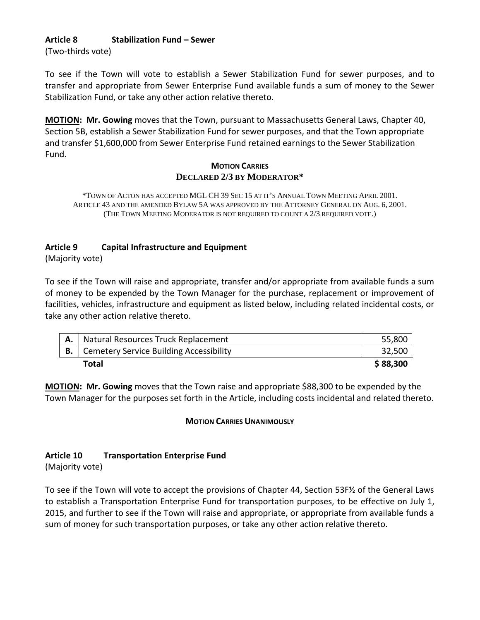## **Article 8 Stabilization Fund – Sewer**

(Two-thirds vote)

To see if the Town will vote to establish a Sewer Stabilization Fund for sewer purposes, and to transfer and appropriate from Sewer Enterprise Fund available funds a sum of money to the Sewer Stabilization Fund, or take any other action relative thereto.

**MOTION: Mr. Gowing** moves that the Town, pursuant to Massachusetts General Laws, Chapter 40, Section 5B, establish a Sewer Stabilization Fund for sewer purposes, and that the Town appropriate and transfer \$1,600,000 from Sewer Enterprise Fund retained earnings to the Sewer Stabilization Fund.

#### **MOTION CARRIES DECLARED 2/3 BY MODERATOR\***

\*TOWN OF ACTON HAS ACCEPTED MGL CH 39 SEC 15 AT IT'S ANNUAL TOWN MEETING APRIL 2001. ARTICLE 43 AND THE AMENDED BYLAW 5A WAS APPROVED BY THE ATTORNEY GENERAL ON AUG. 6, 2001. (THE TOWN MEETING MODERATOR IS NOT REQUIRED TO COUNT A 2/3 REQUIRED VOTE.)

## **Article 9 Capital Infrastructure and Equipment**

(Majority vote)

To see if the Town will raise and appropriate, transfer and/or appropriate from available funds a sum of money to be expended by the Town Manager for the purchase, replacement or improvement of facilities, vehicles, infrastructure and equipment as listed below, including related incidental costs, or take any other action relative thereto.

| Natural Resources Truck Replacement                 | 55,800   |
|-----------------------------------------------------|----------|
| <b>B.</b>   Cemetery Service Building Accessibility | 32,500   |
| Total                                               | \$88,300 |

**MOTION: Mr. Gowing** moves that the Town raise and appropriate \$88,300 to be expended by the Town Manager for the purposes set forth in the Article, including costs incidental and related thereto.

## **MOTION CARRIES UNANIMOUSLY**

## **Article 10 Transportation Enterprise Fund**

(Majority vote)

To see if the Town will vote to accept the provisions of Chapter 44, Section 53F½ of the General Laws to establish a Transportation Enterprise Fund for transportation purposes, to be effective on July 1, 2015, and further to see if the Town will raise and appropriate, or appropriate from available funds a sum of money for such transportation purposes, or take any other action relative thereto.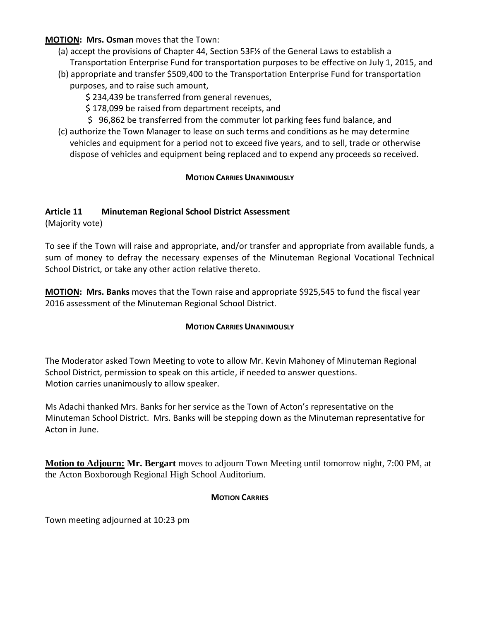#### **MOTION: Mrs. Osman** moves that the Town:

- (a) accept the provisions of Chapter 44, Section 53F½ of the General Laws to establish a Transportation Enterprise Fund for transportation purposes to be effective on July 1, 2015, and
- (b) appropriate and transfer \$509,400 to the Transportation Enterprise Fund for transportation purposes, and to raise such amount,
	- \$ 234,439 be transferred from general revenues,
	- \$ 178,099 be raised from department receipts, and
	- \$ 96,862 be transferred from the commuter lot parking fees fund balance, and
- (c) authorize the Town Manager to lease on such terms and conditions as he may determine vehicles and equipment for a period not to exceed five years, and to sell, trade or otherwise dispose of vehicles and equipment being replaced and to expend any proceeds so received.

#### **MOTION CARRIES UNANIMOUSLY**

## **Article 11 Minuteman Regional School District Assessment**

(Majority vote)

To see if the Town will raise and appropriate, and/or transfer and appropriate from available funds, a sum of money to defray the necessary expenses of the Minuteman Regional Vocational Technical School District, or take any other action relative thereto.

**MOTION: Mrs. Banks** moves that the Town raise and appropriate \$925,545 to fund the fiscal year 2016 assessment of the Minuteman Regional School District.

#### **MOTION CARRIES UNANIMOUSLY**

The Moderator asked Town Meeting to vote to allow Mr. Kevin Mahoney of Minuteman Regional School District, permission to speak on this article, if needed to answer questions. Motion carries unanimously to allow speaker.

Ms Adachi thanked Mrs. Banks for her service as the Town of Acton's representative on the Minuteman School District. Mrs. Banks will be stepping down as the Minuteman representative for Acton in June.

**Motion to Adjourn: Mr. Bergart** moves to adjourn Town Meeting until tomorrow night, 7:00 PM, at the Acton Boxborough Regional High School Auditorium.

#### **MOTION CARRIES**

Town meeting adjourned at 10:23 pm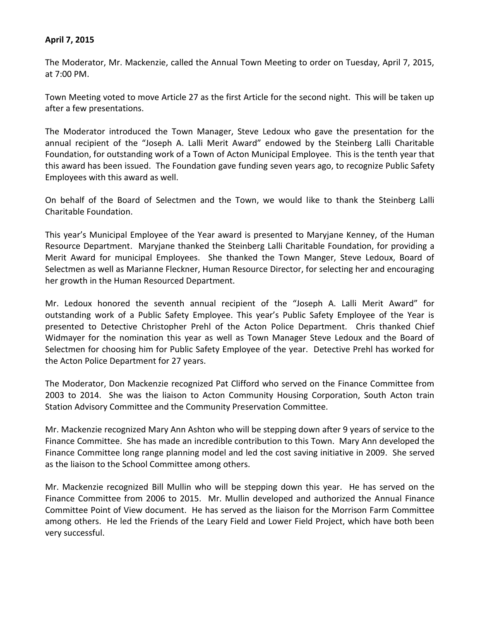#### **April 7, 2015**

The Moderator, Mr. Mackenzie, called the Annual Town Meeting to order on Tuesday, April 7, 2015, at 7:00 PM.

Town Meeting voted to move Article 27 as the first Article for the second night. This will be taken up after a few presentations.

The Moderator introduced the Town Manager, Steve Ledoux who gave the presentation for the annual recipient of the "Joseph A. Lalli Merit Award" endowed by the Steinberg Lalli Charitable Foundation, for outstanding work of a Town of Acton Municipal Employee. This is the tenth year that this award has been issued. The Foundation gave funding seven years ago, to recognize Public Safety Employees with this award as well.

On behalf of the Board of Selectmen and the Town, we would like to thank the Steinberg Lalli Charitable Foundation.

This year's Municipal Employee of the Year award is presented to Maryjane Kenney, of the Human Resource Department. Maryjane thanked the Steinberg Lalli Charitable Foundation, for providing a Merit Award for municipal Employees. She thanked the Town Manger, Steve Ledoux, Board of Selectmen as well as Marianne Fleckner, Human Resource Director, for selecting her and encouraging her growth in the Human Resourced Department.

Mr. Ledoux honored the seventh annual recipient of the "Joseph A. Lalli Merit Award" for outstanding work of a Public Safety Employee. This year's Public Safety Employee of the Year is presented to Detective Christopher Prehl of the Acton Police Department. Chris thanked Chief Widmayer for the nomination this year as well as Town Manager Steve Ledoux and the Board of Selectmen for choosing him for Public Safety Employee of the year. Detective Prehl has worked for the Acton Police Department for 27 years.

The Moderator, Don Mackenzie recognized Pat Clifford who served on the Finance Committee from 2003 to 2014. She was the liaison to Acton Community Housing Corporation, South Acton train Station Advisory Committee and the Community Preservation Committee.

Mr. Mackenzie recognized Mary Ann Ashton who will be stepping down after 9 years of service to the Finance Committee. She has made an incredible contribution to this Town. Mary Ann developed the Finance Committee long range planning model and led the cost saving initiative in 2009. She served as the liaison to the School Committee among others.

Mr. Mackenzie recognized Bill Mullin who will be stepping down this year. He has served on the Finance Committee from 2006 to 2015. Mr. Mullin developed and authorized the Annual Finance Committee Point of View document. He has served as the liaison for the Morrison Farm Committee among others. He led the Friends of the Leary Field and Lower Field Project, which have both been very successful.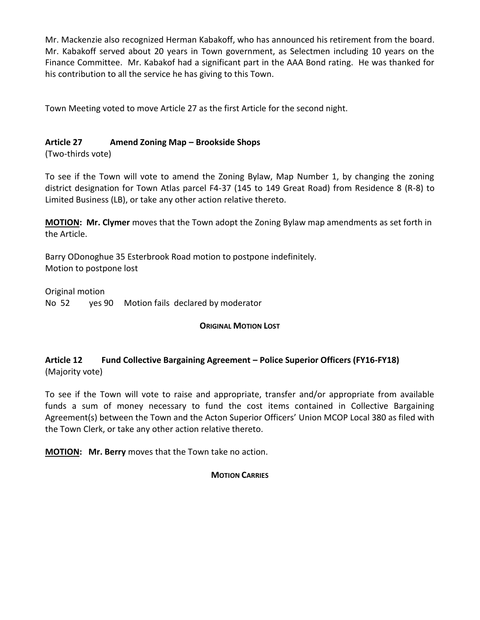Mr. Mackenzie also recognized Herman Kabakoff, who has announced his retirement from the board. Mr. Kabakoff served about 20 years in Town government, as Selectmen including 10 years on the Finance Committee. Mr. Kabakof had a significant part in the AAA Bond rating. He was thanked for his contribution to all the service he has giving to this Town.

Town Meeting voted to move Article 27 as the first Article for the second night.

## **Article 27 Amend Zoning Map – Brookside Shops**

(Two-thirds vote)

To see if the Town will vote to amend the Zoning Bylaw, Map Number 1, by changing the zoning district designation for Town Atlas parcel F4-37 (145 to 149 Great Road) from Residence 8 (R-8) to Limited Business (LB), or take any other action relative thereto.

**MOTION: Mr. Clymer** moves that the Town adopt the Zoning Bylaw map amendments as set forth in the Article.

Barry ODonoghue 35 Esterbrook Road motion to postpone indefinitely. Motion to postpone lost

Original motion

No 52 yes 90 Motion fails declared by moderator

#### **ORIGINAL MOTION LOST**

## **Article 12 Fund Collective Bargaining Agreement – Police Superior Officers (FY16-FY18)** (Majority vote)

To see if the Town will vote to raise and appropriate, transfer and/or appropriate from available funds a sum of money necessary to fund the cost items contained in Collective Bargaining Agreement(s) between the Town and the Acton Superior Officers' Union MCOP Local 380 as filed with the Town Clerk, or take any other action relative thereto.

**MOTION: Mr. Berry** moves that the Town take no action.

## **MOTION CARRIES**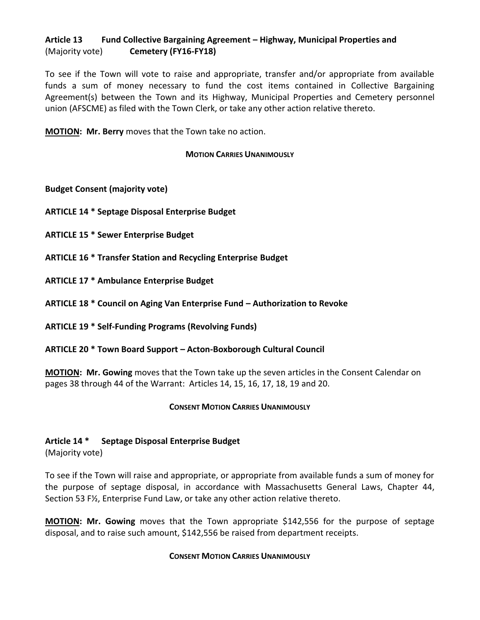## **Article 13 Fund Collective Bargaining Agreement – Highway, Municipal Properties and** (Majority vote) **Cemetery (FY16-FY18)**

To see if the Town will vote to raise and appropriate, transfer and/or appropriate from available funds a sum of money necessary to fund the cost items contained in Collective Bargaining Agreement(s) between the Town and its Highway, Municipal Properties and Cemetery personnel union (AFSCME) as filed with the Town Clerk, or take any other action relative thereto.

**MOTION: Mr. Berry** moves that the Town take no action.

#### **MOTION CARRIES UNANIMOUSLY**

**Budget Consent (majority vote)**

**ARTICLE 14 \* Septage Disposal Enterprise Budget**

**ARTICLE 15 \* Sewer Enterprise Budget**

**ARTICLE 16 \* Transfer Station and Recycling Enterprise Budget**

**ARTICLE 17 \* Ambulance Enterprise Budget**

**ARTICLE 18 \* Council on Aging Van Enterprise Fund – Authorization to Revoke**

**ARTICLE 19 \* Self-Funding Programs (Revolving Funds)**

**ARTICLE 20 \* Town Board Support – Acton-Boxborough Cultural Council**

**MOTION: Mr. Gowing** moves that the Town take up the seven articles in the Consent Calendar on pages 38 through 44 of the Warrant: Articles 14, 15, 16, 17, 18, 19 and 20.

#### **CONSENT MOTION CARRIES UNANIMOUSLY**

## **Article 14 \* Septage Disposal Enterprise Budget**

(Majority vote)

To see if the Town will raise and appropriate, or appropriate from available funds a sum of money for the purpose of septage disposal, in accordance with Massachusetts General Laws, Chapter 44, Section 53 F½, Enterprise Fund Law, or take any other action relative thereto.

**MOTION: Mr. Gowing** moves that the Town appropriate \$142,556 for the purpose of septage disposal, and to raise such amount, \$142,556 be raised from department receipts.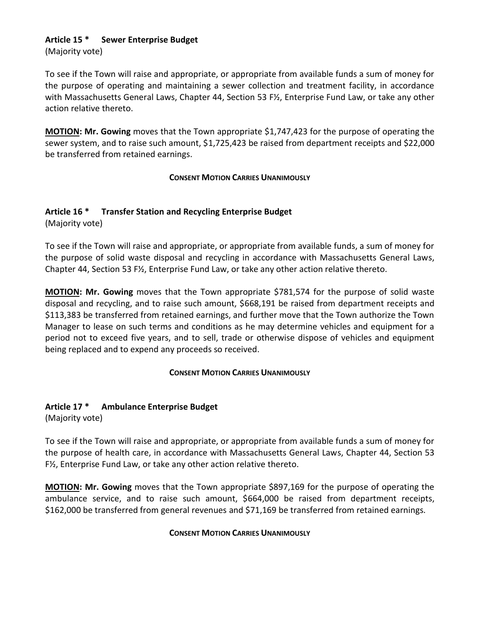## **Article 15 \* Sewer Enterprise Budget**

(Majority vote)

To see if the Town will raise and appropriate, or appropriate from available funds a sum of money for the purpose of operating and maintaining a sewer collection and treatment facility, in accordance with Massachusetts General Laws, Chapter 44, Section 53 F½, Enterprise Fund Law, or take any other action relative thereto.

**MOTION: Mr. Gowing** moves that the Town appropriate \$1,747,423 for the purpose of operating the sewer system, and to raise such amount, \$1,725,423 be raised from department receipts and \$22,000 be transferred from retained earnings.

## **CONSENT MOTION CARRIES UNANIMOUSLY**

## **Article 16 \* Transfer Station and Recycling Enterprise Budget**

(Majority vote)

To see if the Town will raise and appropriate, or appropriate from available funds, a sum of money for the purpose of solid waste disposal and recycling in accordance with Massachusetts General Laws, Chapter 44, Section 53 F½, Enterprise Fund Law, or take any other action relative thereto.

**MOTION: Mr. Gowing** moves that the Town appropriate \$781,574 for the purpose of solid waste disposal and recycling, and to raise such amount, \$668,191 be raised from department receipts and \$113,383 be transferred from retained earnings, and further move that the Town authorize the Town Manager to lease on such terms and conditions as he may determine vehicles and equipment for a period not to exceed five years, and to sell, trade or otherwise dispose of vehicles and equipment being replaced and to expend any proceeds so received.

## **CONSENT MOTION CARRIES UNANIMOUSLY**

## **Article 17 \* Ambulance Enterprise Budget**

(Majority vote)

To see if the Town will raise and appropriate, or appropriate from available funds a sum of money for the purpose of health care, in accordance with Massachusetts General Laws, Chapter 44, Section 53 F½, Enterprise Fund Law, or take any other action relative thereto.

**MOTION: Mr. Gowing** moves that the Town appropriate \$897,169 for the purpose of operating the ambulance service, and to raise such amount, \$664,000 be raised from department receipts, \$162,000 be transferred from general revenues and \$71,169 be transferred from retained earnings.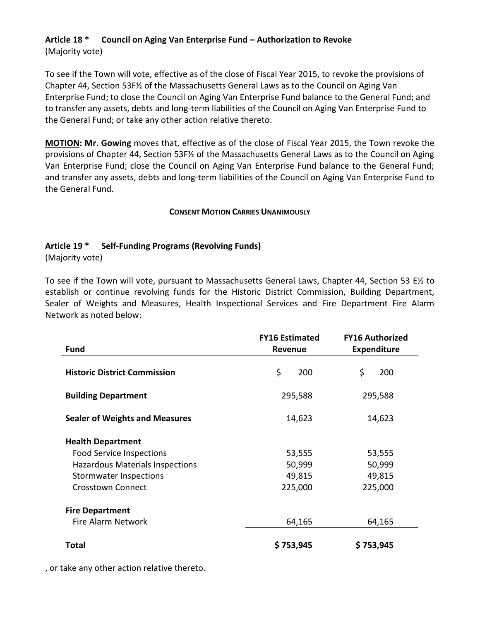## **Article 18 \* Council on Aging Van Enterprise Fund – Authorization to Revoke** (Majority vote)

To see if the Town will vote, effective as of the close of Fiscal Year 2015, to revoke the provisions of Chapter 44, Section 53F½ of the Massachusetts General Laws as to the Council on Aging Van Enterprise Fund; to close the Council on Aging Van Enterprise Fund balance to the General Fund; and to transfer any assets, debts and long-term liabilities of the Council on Aging Van Enterprise Fund to the General Fund; or take any other action relative thereto.

**MOTION: Mr. Gowing** moves that, effective as of the close of Fiscal Year 2015, the Town revoke the provisions of Chapter 44, Section 53F½ of the Massachusetts General Laws as to the Council on Aging Van Enterprise Fund; close the Council on Aging Van Enterprise Fund balance to the General Fund; and transfer any assets, debts and long-term liabilities of the Council on Aging Van Enterprise Fund to the General Fund.

#### **CONSENT MOTION CARRIES UNANIMOUSLY**

## **Article 19 \* Self-Funding Programs (Revolving Funds)**

(Majority vote)

To see if the Town will vote, pursuant to Massachusetts General Laws, Chapter 44, Section 53 E½ to establish or continue revolving funds for the Historic District Commission, Building Department, Sealer of Weights and Measures, Health Inspectional Services and Fire Department Fire Alarm Network as noted below:

|                                        | <b>FY16 Estimated</b> | <b>FY16 Authorized</b> |
|----------------------------------------|-----------------------|------------------------|
| <b>Fund</b>                            | <b>Revenue</b>        | <b>Expenditure</b>     |
| <b>Historic District Commission</b>    | \$<br>200             | \$<br>200              |
| <b>Building Department</b>             | 295,588               | 295,588                |
| <b>Sealer of Weights and Measures</b>  | 14,623                | 14,623                 |
| <b>Health Department</b>               |                       |                        |
| <b>Food Service Inspections</b>        | 53,555                | 53,555                 |
| <b>Hazardous Materials Inspections</b> | 50,999                | 50,999                 |
| <b>Stormwater Inspections</b>          | 49,815                | 49,815                 |
| <b>Crosstown Connect</b>               | 225,000               | 225,000                |
| <b>Fire Department</b>                 |                       |                        |
| <b>Fire Alarm Network</b>              | 64,165                | 64,165                 |
| <b>Total</b>                           | \$753,945             | \$753,945              |

, or take any other action relative thereto.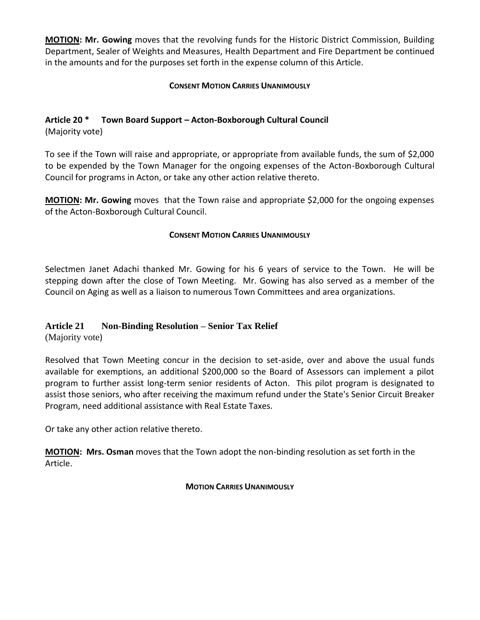**MOTION: Mr. Gowing** moves that the revolving funds for the Historic District Commission, Building Department, Sealer of Weights and Measures, Health Department and Fire Department be continued in the amounts and for the purposes set forth in the expense column of this Article.

## **CONSENT MOTION CARRIES UNANIMOUSLY**

## **Article 20 \* Town Board Support – Acton-Boxborough Cultural Council**

(Majority vote)

To see if the Town will raise and appropriate, or appropriate from available funds, the sum of \$2,000 to be expended by the Town Manager for the ongoing expenses of the Acton-Boxborough Cultural Council for programs in Acton, or take any other action relative thereto.

**MOTION: Mr. Gowing** moves that the Town raise and appropriate \$2,000 for the ongoing expenses of the Acton-Boxborough Cultural Council.

#### **CONSENT MOTION CARRIES UNANIMOUSLY**

Selectmen Janet Adachi thanked Mr. Gowing for his 6 years of service to the Town. He will be stepping down after the close of Town Meeting. Mr. Gowing has also served as a member of the Council on Aging as well as a liaison to numerous Town Committees and area organizations.

## **Article 21 Non-Binding Resolution – Senior Tax Relief**

(Majority vote)

Resolved that Town Meeting concur in the decision to set-aside, over and above the usual funds available for exemptions, an additional \$200,000 so the Board of Assessors can implement a pilot program to further assist long-term senior residents of Acton. This pilot program is designated to assist those seniors, who after receiving the maximum refund under the State's Senior Circuit Breaker Program, need additional assistance with Real Estate Taxes.

Or take any other action relative thereto.

**MOTION: Mrs. Osman** moves that the Town adopt the non-binding resolution as set forth in the Article.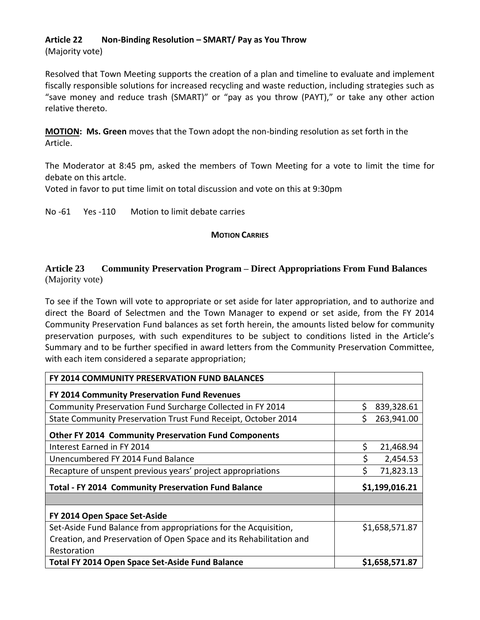## **Article 22 Non-Binding Resolution – SMART/ Pay as You Throw**

(Majority vote)

Resolved that Town Meeting supports the creation of a plan and timeline to evaluate and implement fiscally responsible solutions for increased recycling and waste reduction, including strategies such as "save money and reduce trash (SMART)" or "pay as you throw (PAYT)," or take any other action relative thereto.

**MOTION: Ms. Green** moves that the Town adopt the non-binding resolution as set forth in the Article.

The Moderator at 8:45 pm, asked the members of Town Meeting for a vote to limit the time for debate on this artcle.

Voted in favor to put time limit on total discussion and vote on this at 9:30pm

No -61 Yes -110 Motion to limit debate carries

#### **MOTION CARRIES**

## **Article 23 Community Preservation Program – Direct Appropriations From Fund Balances** (Majority vote)

To see if the Town will vote to appropriate or set aside for later appropriation, and to authorize and direct the Board of Selectmen and the Town Manager to expend or set aside, from the FY 2014 Community Preservation Fund balances as set forth herein, the amounts listed below for community preservation purposes, with such expenditures to be subject to conditions listed in the Article's Summary and to be further specified in award letters from the Community Preservation Committee, with each item considered a separate appropriation;

| FY 2014 COMMUNITY PRESERVATION FUND BALANCES                        |                 |
|---------------------------------------------------------------------|-----------------|
| FY 2014 Community Preservation Fund Revenues                        |                 |
| Community Preservation Fund Surcharge Collected in FY 2014          | Ś<br>839,328.61 |
| State Community Preservation Trust Fund Receipt, October 2014       | 263,941.00      |
| <b>Other FY 2014 Community Preservation Fund Components</b>         |                 |
| Interest Earned in FY 2014                                          | \$<br>21,468.94 |
| Unencumbered FY 2014 Fund Balance                                   | 2,454.53        |
| Recapture of unspent previous years' project appropriations         | \$<br>71,823.13 |
| <b>Total - FY 2014 Community Preservation Fund Balance</b>          | \$1,199,016.21  |
|                                                                     |                 |
| FY 2014 Open Space Set-Aside                                        |                 |
| Set-Aside Fund Balance from appropriations for the Acquisition,     | \$1,658,571.87  |
| Creation, and Preservation of Open Space and its Rehabilitation and |                 |
| Restoration                                                         |                 |
| <b>Total FY 2014 Open Space Set-Aside Fund Balance</b>              | \$1,658,571.87  |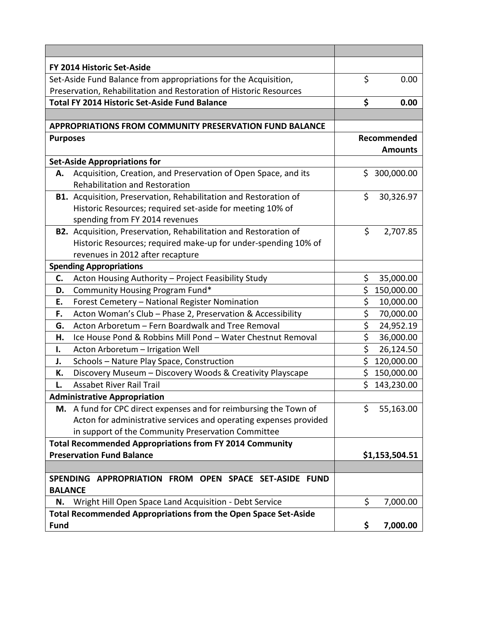|                                                                         | FY 2014 Historic Set-Aside                                        |    |                |
|-------------------------------------------------------------------------|-------------------------------------------------------------------|----|----------------|
|                                                                         | Set-Aside Fund Balance from appropriations for the Acquisition,   | \$ | 0.00           |
| Preservation, Rehabilitation and Restoration of Historic Resources      |                                                                   |    |                |
|                                                                         | <b>Total FY 2014 Historic Set-Aside Fund Balance</b>              | \$ | 0.00           |
|                                                                         |                                                                   |    |                |
|                                                                         | <b>APPROPRIATIONS FROM COMMUNITY PRESERVATION FUND BALANCE</b>    |    |                |
| <b>Purposes</b>                                                         |                                                                   |    | Recommended    |
|                                                                         |                                                                   |    | <b>Amounts</b> |
|                                                                         | <b>Set-Aside Appropriations for</b>                               |    |                |
| А.                                                                      | Acquisition, Creation, and Preservation of Open Space, and its    | \$ | 300,000.00     |
|                                                                         | <b>Rehabilitation and Restoration</b>                             |    |                |
|                                                                         | B1. Acquisition, Preservation, Rehabilitation and Restoration of  | \$ | 30,326.97      |
|                                                                         | Historic Resources; required set-aside for meeting 10% of         |    |                |
|                                                                         | spending from FY 2014 revenues                                    |    |                |
|                                                                         | B2. Acquisition, Preservation, Rehabilitation and Restoration of  | \$ | 2,707.85       |
|                                                                         | Historic Resources; required make-up for under-spending 10% of    |    |                |
|                                                                         | revenues in 2012 after recapture                                  |    |                |
|                                                                         | <b>Spending Appropriations</b>                                    |    |                |
| C.                                                                      | Acton Housing Authority - Project Feasibility Study               | \$ | 35,000.00      |
| D.                                                                      | Community Housing Program Fund*                                   | \$ | 150,000.00     |
| Ε.                                                                      | Forest Cemetery - National Register Nomination                    | \$ | 10,000.00      |
| F.                                                                      | Acton Woman's Club - Phase 2, Preservation & Accessibility        | \$ | 70,000.00      |
| G.                                                                      | Acton Arboretum - Fern Boardwalk and Tree Removal                 | \$ | 24,952.19      |
| Η.                                                                      | Ice House Pond & Robbins Mill Pond - Water Chestnut Removal       | \$ | 36,000.00      |
| Ι.                                                                      | Acton Arboretum - Irrigation Well                                 | \$ | 26,124.50      |
| J.                                                                      | Schools - Nature Play Space, Construction                         | \$ | 120,000.00     |
| К.                                                                      | Discovery Museum - Discovery Woods & Creativity Playscape         | Ś  | 150,000.00     |
| L.                                                                      | <b>Assabet River Rail Trail</b>                                   | \$ | 143,230.00     |
|                                                                         | <b>Administrative Appropriation</b>                               |    |                |
|                                                                         | M. A fund for CPC direct expenses and for reimbursing the Town of | \$ | 55,163.00      |
|                                                                         | Acton for administrative services and operating expenses provided |    |                |
|                                                                         | in support of the Community Preservation Committee                |    |                |
| <b>Total Recommended Appropriations from FY 2014 Community</b>          |                                                                   |    |                |
| <b>Preservation Fund Balance</b>                                        |                                                                   |    | \$1,153,504.51 |
|                                                                         |                                                                   |    |                |
| SPENDING APPROPRIATION FROM OPEN SPACE SET-ASIDE FUND<br><b>BALANCE</b> |                                                                   |    |                |
| N.                                                                      | Wright Hill Open Space Land Acquisition - Debt Service            | \$ | 7,000.00       |
| Total Recommended Appropriations from the Open Space Set-Aside          |                                                                   |    |                |
| <b>Fund</b>                                                             |                                                                   |    | 7,000.00       |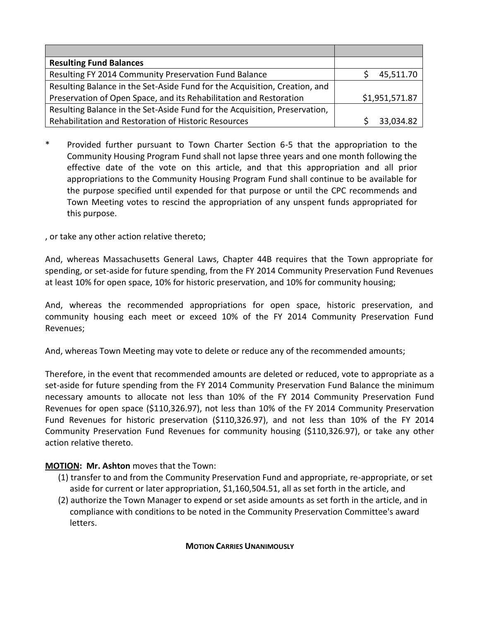| <b>Resulting Fund Balances</b>                                                       |           |
|--------------------------------------------------------------------------------------|-----------|
| Resulting FY 2014 Community Preservation Fund Balance                                | 45,511.70 |
| Resulting Balance in the Set-Aside Fund for the Acquisition, Creation, and           |           |
| Preservation of Open Space, and its Rehabilitation and Restoration<br>\$1,951,571.87 |           |
| Resulting Balance in the Set-Aside Fund for the Acquisition, Preservation,           |           |
| Rehabilitation and Restoration of Historic Resources                                 | 33,034.82 |

\* Provided further pursuant to Town Charter Section 6-5 that the appropriation to the Community Housing Program Fund shall not lapse three years and one month following the effective date of the vote on this article, and that this appropriation and all prior appropriations to the Community Housing Program Fund shall continue to be available for the purpose specified until expended for that purpose or until the CPC recommends and Town Meeting votes to rescind the appropriation of any unspent funds appropriated for this purpose.

, or take any other action relative thereto;

And, whereas Massachusetts General Laws, Chapter 44B requires that the Town appropriate for spending, or set-aside for future spending, from the FY 2014 Community Preservation Fund Revenues at least 10% for open space, 10% for historic preservation, and 10% for community housing;

And, whereas the recommended appropriations for open space, historic preservation, and community housing each meet or exceed 10% of the FY 2014 Community Preservation Fund Revenues;

And, whereas Town Meeting may vote to delete or reduce any of the recommended amounts;

Therefore, in the event that recommended amounts are deleted or reduced, vote to appropriate as a set-aside for future spending from the FY 2014 Community Preservation Fund Balance the minimum necessary amounts to allocate not less than 10% of the FY 2014 Community Preservation Fund Revenues for open space (\$110,326.97), not less than 10% of the FY 2014 Community Preservation Fund Revenues for historic preservation (\$110,326.97), and not less than 10% of the FY 2014 Community Preservation Fund Revenues for community housing (\$110,326.97), or take any other action relative thereto.

## **MOTION: Mr. Ashton** moves that the Town:

- (1) transfer to and from the Community Preservation Fund and appropriate, re-appropriate, or set aside for current or later appropriation, \$1,160,504.51, all as set forth in the article, and
- (2) authorize the Town Manager to expend or set aside amounts as set forth in the article, and in compliance with conditions to be noted in the Community Preservation Committee's award letters.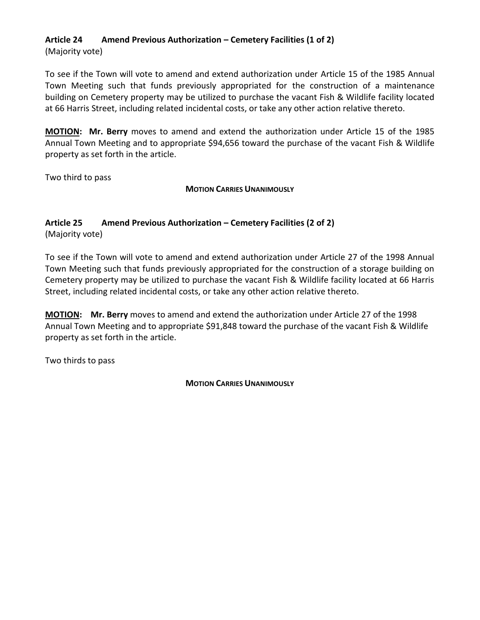#### **Article 24 Amend Previous Authorization – Cemetery Facilities (1 of 2)** (Majority vote)

To see if the Town will vote to amend and extend authorization under Article 15 of the 1985 Annual Town Meeting such that funds previously appropriated for the construction of a maintenance building on Cemetery property may be utilized to purchase the vacant Fish & Wildlife facility located at 66 Harris Street, including related incidental costs, or take any other action relative thereto.

**MOTION: Mr. Berry** moves to amend and extend the authorization under Article 15 of the 1985 Annual Town Meeting and to appropriate \$94,656 toward the purchase of the vacant Fish & Wildlife property as set forth in the article.

Two third to pass

**MOTION CARRIES UNANIMOUSLY**

## **Article 25 Amend Previous Authorization – Cemetery Facilities (2 of 2)**

(Majority vote)

To see if the Town will vote to amend and extend authorization under Article 27 of the 1998 Annual Town Meeting such that funds previously appropriated for the construction of a storage building on Cemetery property may be utilized to purchase the vacant Fish & Wildlife facility located at 66 Harris Street, including related incidental costs, or take any other action relative thereto.

**MOTION: Mr. Berry** moves to amend and extend the authorization under Article 27 of the 1998 Annual Town Meeting and to appropriate \$91,848 toward the purchase of the vacant Fish & Wildlife property as set forth in the article.

Two thirds to pass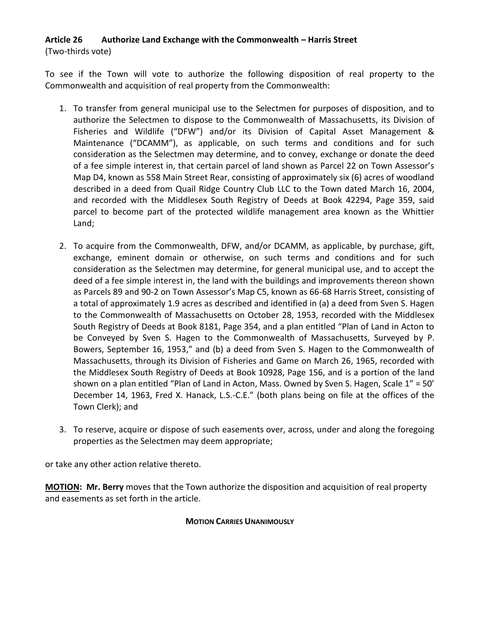## **Article 26 Authorize Land Exchange with the Commonwealth – Harris Street** (Two-thirds vote)

To see if the Town will vote to authorize the following disposition of real property to the Commonwealth and acquisition of real property from the Commonwealth:

- 1. To transfer from general municipal use to the Selectmen for purposes of disposition, and to authorize the Selectmen to dispose to the Commonwealth of Massachusetts, its Division of Fisheries and Wildlife ("DFW") and/or its Division of Capital Asset Management & Maintenance ("DCAMM"), as applicable, on such terms and conditions and for such consideration as the Selectmen may determine, and to convey, exchange or donate the deed of a fee simple interest in, that certain parcel of land shown as Parcel 22 on Town Assessor's Map D4, known as 558 Main Street Rear, consisting of approximately six (6) acres of woodland described in a deed from Quail Ridge Country Club LLC to the Town dated March 16, 2004, and recorded with the Middlesex South Registry of Deeds at Book 42294, Page 359, said parcel to become part of the protected wildlife management area known as the Whittier Land;
- 2. To acquire from the Commonwealth, DFW, and/or DCAMM, as applicable, by purchase, gift, exchange, eminent domain or otherwise, on such terms and conditions and for such consideration as the Selectmen may determine, for general municipal use, and to accept the deed of a fee simple interest in, the land with the buildings and improvements thereon shown as Parcels 89 and 90-2 on Town Assessor's Map C5, known as 66-68 Harris Street, consisting of a total of approximately 1.9 acres as described and identified in (a) a deed from Sven S. Hagen to the Commonwealth of Massachusetts on October 28, 1953, recorded with the Middlesex South Registry of Deeds at Book 8181, Page 354, and a plan entitled "Plan of Land in Acton to be Conveyed by Sven S. Hagen to the Commonwealth of Massachusetts, Surveyed by P. Bowers, September 16, 1953," and (b) a deed from Sven S. Hagen to the Commonwealth of Massachusetts, through its Division of Fisheries and Game on March 26, 1965, recorded with the Middlesex South Registry of Deeds at Book 10928, Page 156, and is a portion of the land shown on a plan entitled "Plan of Land in Acton, Mass. Owned by Sven S. Hagen, Scale 1" = 50' December 14, 1963, Fred X. Hanack, L.S.-C.E." (both plans being on file at the offices of the Town Clerk); and
- 3. To reserve, acquire or dispose of such easements over, across, under and along the foregoing properties as the Selectmen may deem appropriate;

or take any other action relative thereto.

**MOTION: Mr. Berry** moves that the Town authorize the disposition and acquisition of real property and easements as set forth in the article.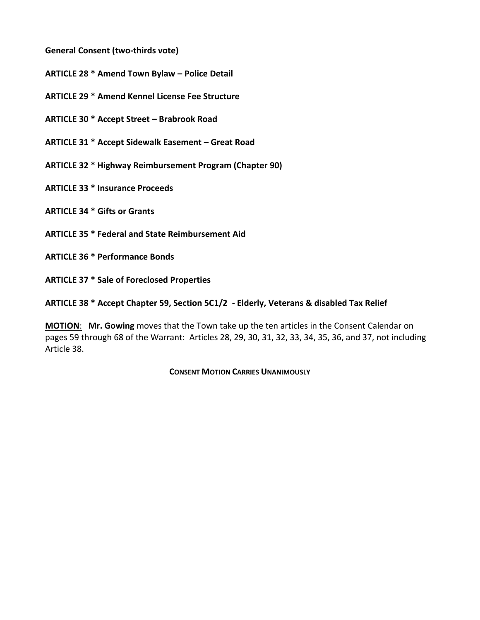**General Consent (two-thirds vote)**

**ARTICLE 28 \* Amend Town Bylaw – Police Detail**

**ARTICLE 29 \* Amend Kennel License Fee Structure**

**ARTICLE 30 \* Accept Street – Brabrook Road**

**ARTICLE 31 \* Accept Sidewalk Easement – Great Road**

**ARTICLE 32 \* Highway Reimbursement Program (Chapter 90)**

**ARTICLE 33 \* Insurance Proceeds**

**ARTICLE 34 \* Gifts or Grants**

**ARTICLE 35 \* Federal and State Reimbursement Aid**

**ARTICLE 36 \* Performance Bonds**

**ARTICLE 37 \* Sale of Foreclosed Properties**

**ARTICLE 38 \* Accept Chapter 59, Section 5C1/2 - Elderly, Veterans & disabled Tax Relief** 

**MOTION**: **Mr. Gowing** moves that the Town take up the ten articles in the Consent Calendar on pages 59 through 68 of the Warrant: Articles 28, 29, 30, 31, 32, 33, 34, 35, 36, and 37, not including Article 38.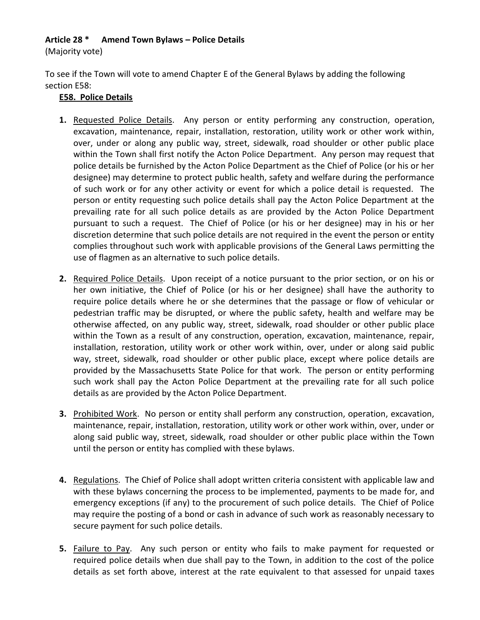## **Article 28 \* Amend Town Bylaws – Police Details**

(Majority vote)

To see if the Town will vote to amend Chapter E of the General Bylaws by adding the following section E58:

#### **E58. Police Details**

- **1.** Requested Police Details. Any person or entity performing any construction, operation, excavation, maintenance, repair, installation, restoration, utility work or other work within, over, under or along any public way, street, sidewalk, road shoulder or other public place within the Town shall first notify the Acton Police Department. Any person may request that police details be furnished by the Acton Police Department as the Chief of Police (or his or her designee) may determine to protect public health, safety and welfare during the performance of such work or for any other activity or event for which a police detail is requested. The person or entity requesting such police details shall pay the Acton Police Department at the prevailing rate for all such police details as are provided by the Acton Police Department pursuant to such a request. The Chief of Police (or his or her designee) may in his or her discretion determine that such police details are not required in the event the person or entity complies throughout such work with applicable provisions of the General Laws permitting the use of flagmen as an alternative to such police details.
- **2.** Required Police Details. Upon receipt of a notice pursuant to the prior section, or on his or her own initiative, the Chief of Police (or his or her designee) shall have the authority to require police details where he or she determines that the passage or flow of vehicular or pedestrian traffic may be disrupted, or where the public safety, health and welfare may be otherwise affected, on any public way, street, sidewalk, road shoulder or other public place within the Town as a result of any construction, operation, excavation, maintenance, repair, installation, restoration, utility work or other work within, over, under or along said public way, street, sidewalk, road shoulder or other public place, except where police details are provided by the Massachusetts State Police for that work. The person or entity performing such work shall pay the Acton Police Department at the prevailing rate for all such police details as are provided by the Acton Police Department.
- **3.** Prohibited Work. No person or entity shall perform any construction, operation, excavation, maintenance, repair, installation, restoration, utility work or other work within, over, under or along said public way, street, sidewalk, road shoulder or other public place within the Town until the person or entity has complied with these bylaws.
- **4.** Regulations. The Chief of Police shall adopt written criteria consistent with applicable law and with these bylaws concerning the process to be implemented, payments to be made for, and emergency exceptions (if any) to the procurement of such police details. The Chief of Police may require the posting of a bond or cash in advance of such work as reasonably necessary to secure payment for such police details.
- **5.** Failure to Pay. Any such person or entity who fails to make payment for requested or required police details when due shall pay to the Town, in addition to the cost of the police details as set forth above, interest at the rate equivalent to that assessed for unpaid taxes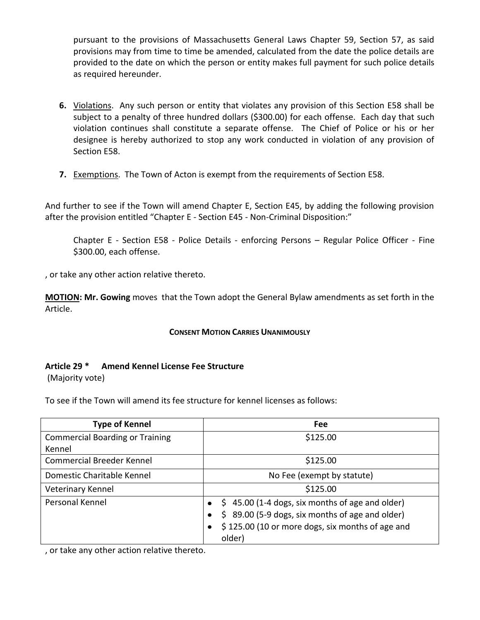pursuant to the provisions of Massachusetts General Laws Chapter 59, Section 57, as said provisions may from time to time be amended, calculated from the date the police details are provided to the date on which the person or entity makes full payment for such police details as required hereunder.

- **6.** Violations. Any such person or entity that violates any provision of this Section E58 shall be subject to a penalty of three hundred dollars (\$300.00) for each offense. Each day that such violation continues shall constitute a separate offense. The Chief of Police or his or her designee is hereby authorized to stop any work conducted in violation of any provision of Section E58.
- **7.** Exemptions. The Town of Acton is exempt from the requirements of Section E58.

And further to see if the Town will amend Chapter E, Section E45, by adding the following provision after the provision entitled "Chapter E - Section E45 - Non-Criminal Disposition:"

Chapter E - Section E58 - Police Details - enforcing Persons – Regular Police Officer - Fine \$300.00, each offense.

, or take any other action relative thereto.

**MOTION: Mr. Gowing** moves that the Town adopt the General Bylaw amendments as set forth in the Article.

## **CONSENT MOTION CARRIES UNANIMOUSLY**

## **Article 29 \* Amend Kennel License Fee Structure**

(Majority vote)

To see if the Town will amend its fee structure for kennel licenses as follows:

| <b>Type of Kennel</b>                  | Fee                                                           |
|----------------------------------------|---------------------------------------------------------------|
| <b>Commercial Boarding or Training</b> | \$125.00                                                      |
| Kennel                                 |                                                               |
| <b>Commercial Breeder Kennel</b>       | \$125.00                                                      |
| Domestic Charitable Kennel             | No Fee (exempt by statute)                                    |
| Veterinary Kennel                      | \$125.00                                                      |
| <b>Personal Kennel</b>                 | $\frac{1}{2}$ 45.00 (1-4 dogs, six months of age and older)   |
|                                        | \$89.00 (5-9 dogs, six months of age and older)<br>$\bullet$  |
|                                        | \$125.00 (10 or more dogs, six months of age and<br>$\bullet$ |
|                                        | older)                                                        |

, or take any other action relative thereto.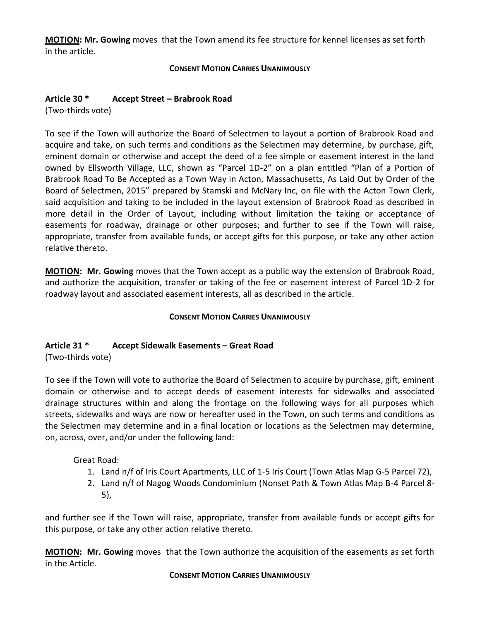**MOTION: Mr. Gowing** moves that the Town amend its fee structure for kennel licenses as set forth in the article.

#### **CONSENT MOTION CARRIES UNANIMOUSLY**

## **Article 30 \* Accept Street – Brabrook Road**

(Two-thirds vote)

To see if the Town will authorize the Board of Selectmen to layout a portion of Brabrook Road and acquire and take, on such terms and conditions as the Selectmen may determine, by purchase, gift, eminent domain or otherwise and accept the deed of a fee simple or easement interest in the land owned by Ellsworth Village, LLC, shown as "Parcel 1D-2" on a plan entitled "Plan of a Portion of Brabrook Road To Be Accepted as a Town Way in Acton, Massachusetts, As Laid Out by Order of the Board of Selectmen, 2015" prepared by Stamski and McNary Inc, on file with the Acton Town Clerk, said acquisition and taking to be included in the layout extension of Brabrook Road as described in more detail in the Order of Layout, including without limitation the taking or acceptance of easements for roadway, drainage or other purposes; and further to see if the Town will raise, appropriate, transfer from available funds, or accept gifts for this purpose, or take any other action relative thereto.

**MOTION: Mr. Gowing** moves that the Town accept as a public way the extension of Brabrook Road, and authorize the acquisition, transfer or taking of the fee or easement interest of Parcel 1D-2 for roadway layout and associated easement interests, all as described in the article.

## **CONSENT MOTION CARRIES UNANIMOUSLY**

## **Article 31 \* Accept Sidewalk Easements – Great Road**

(Two-thirds vote)

To see if the Town will vote to authorize the Board of Selectmen to acquire by purchase, gift, eminent domain or otherwise and to accept deeds of easement interests for sidewalks and associated drainage structures within and along the frontage on the following ways for all purposes which streets, sidewalks and ways are now or hereafter used in the Town, on such terms and conditions as the Selectmen may determine and in a final location or locations as the Selectmen may determine, on, across, over, and/or under the following land:

Great Road:

- 1. Land n/f of Iris Court Apartments, LLC of 1-5 Iris Court (Town Atlas Map G-5 Parcel 72),
- 2. Land n/f of Nagog Woods Condominium (Nonset Path & Town Atlas Map B-4 Parcel 8- 5),

and further see if the Town will raise, appropriate, transfer from available funds or accept gifts for this purpose, or take any other action relative thereto.

**MOTION: Mr. Gowing** moves that the Town authorize the acquisition of the easements as set forth in the Article.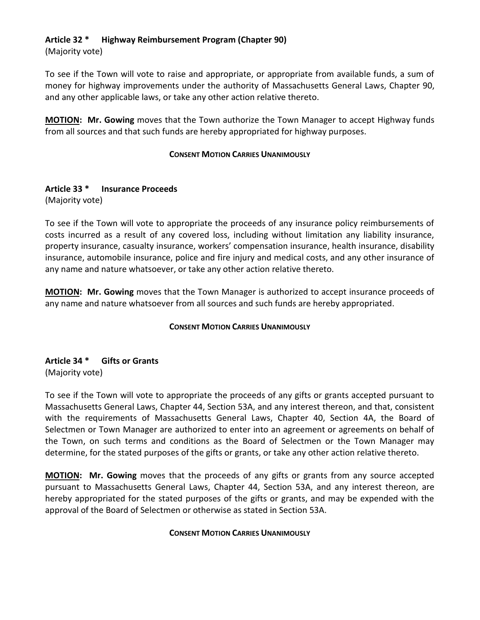## **Article 32 \* Highway Reimbursement Program (Chapter 90)**

(Majority vote)

To see if the Town will vote to raise and appropriate, or appropriate from available funds, a sum of money for highway improvements under the authority of Massachusetts General Laws, Chapter 90, and any other applicable laws, or take any other action relative thereto.

**MOTION: Mr. Gowing** moves that the Town authorize the Town Manager to accept Highway funds from all sources and that such funds are hereby appropriated for highway purposes.

## **CONSENT MOTION CARRIES UNANIMOUSLY**

## **Article 33 \* Insurance Proceeds**

(Majority vote)

To see if the Town will vote to appropriate the proceeds of any insurance policy reimbursements of costs incurred as a result of any covered loss, including without limitation any liability insurance, property insurance, casualty insurance, workers' compensation insurance, health insurance, disability insurance, automobile insurance, police and fire injury and medical costs, and any other insurance of any name and nature whatsoever, or take any other action relative thereto.

**MOTION: Mr. Gowing** moves that the Town Manager is authorized to accept insurance proceeds of any name and nature whatsoever from all sources and such funds are hereby appropriated.

## **CONSENT MOTION CARRIES UNANIMOUSLY**

## **Article 34 \* Gifts or Grants** (Majority vote)

To see if the Town will vote to appropriate the proceeds of any gifts or grants accepted pursuant to Massachusetts General Laws, Chapter 44, Section 53A, and any interest thereon, and that, consistent with the requirements of Massachusetts General Laws, Chapter 40, Section 4A, the Board of Selectmen or Town Manager are authorized to enter into an agreement or agreements on behalf of the Town, on such terms and conditions as the Board of Selectmen or the Town Manager may determine, for the stated purposes of the gifts or grants, or take any other action relative thereto.

**MOTION: Mr. Gowing** moves that the proceeds of any gifts or grants from any source accepted pursuant to Massachusetts General Laws, Chapter 44, Section 53A, and any interest thereon, are hereby appropriated for the stated purposes of the gifts or grants, and may be expended with the approval of the Board of Selectmen or otherwise as stated in Section 53A.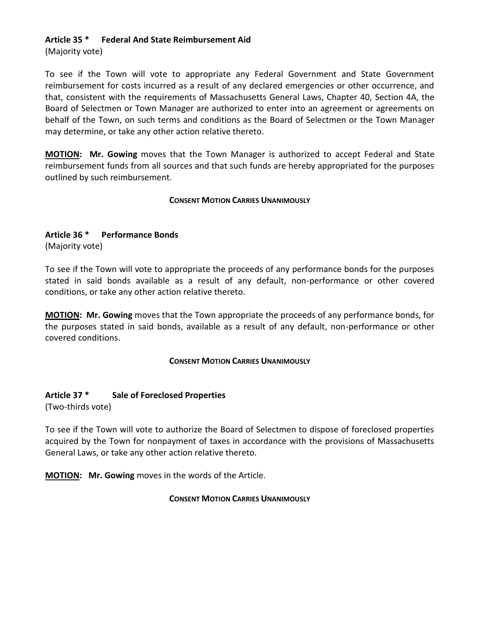## **Article 35 \* Federal And State Reimbursement Aid**

(Majority vote)

To see if the Town will vote to appropriate any Federal Government and State Government reimbursement for costs incurred as a result of any declared emergencies or other occurrence, and that, consistent with the requirements of Massachusetts General Laws, Chapter 40, Section 4A, the Board of Selectmen or Town Manager are authorized to enter into an agreement or agreements on behalf of the Town, on such terms and conditions as the Board of Selectmen or the Town Manager may determine, or take any other action relative thereto.

**MOTION: Mr. Gowing** moves that the Town Manager is authorized to accept Federal and State reimbursement funds from all sources and that such funds are hereby appropriated for the purposes outlined by such reimbursement.

## **CONSENT MOTION CARRIES UNANIMOUSLY**

## **Article 36 \* Performance Bonds**

(Majority vote)

To see if the Town will vote to appropriate the proceeds of any performance bonds for the purposes stated in said bonds available as a result of any default, non-performance or other covered conditions, or take any other action relative thereto.

**MOTION: Mr. Gowing** moves that the Town appropriate the proceeds of any performance bonds, for the purposes stated in said bonds, available as a result of any default, non-performance or other covered conditions.

## **CONSENT MOTION CARRIES UNANIMOUSLY**

## **Article 37 \* Sale of Foreclosed Properties**

(Two-thirds vote)

To see if the Town will vote to authorize the Board of Selectmen to dispose of foreclosed properties acquired by the Town for nonpayment of taxes in accordance with the provisions of Massachusetts General Laws, or take any other action relative thereto.

**MOTION: Mr. Gowing** moves in the words of the Article.